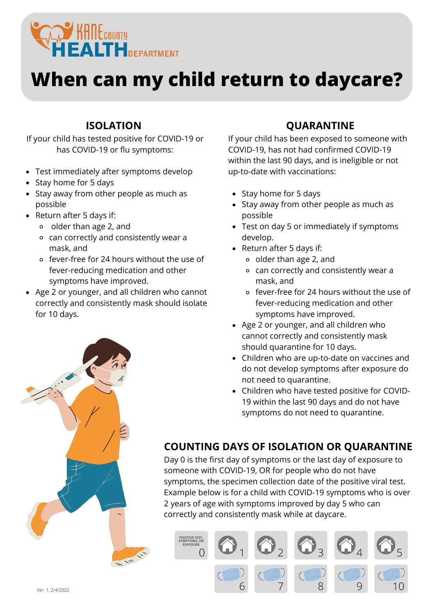

## **When can my child return to daycare?**

#### **ISOLATION**

If your child has tested positive for COVID-19 or has COVID-19 or flu symptoms:

- Test immediately after symptoms develop
- Stay home for 5 days
- Stay away from other people as much as possible
- Return after 5 days if:
	- older than age 2, and
	- can correctly and consistently wear a mask, and
	- fever-free for 24 hours without the use of fever-reducing medication and other symptoms have improved.
- Age 2 or younger, and all children who cannot correctly and consistently mask should isolate for 10 days.

### **QUARANTINE**

If your child has been exposed to someone with COVID-19, has not had confirmed COVID-19 within the last 90 days, and is ineligible or not up-to-date with vaccinations:

- Stay home for 5 days
- Stay away from other people as much as possible
- Test on day 5 or immediately if symptoms develop.
- Return after 5 days if:
	- older than age 2, and
	- can correctly and consistently wear a mask, and
	- fever-free for 24 hours without the use of fever-reducing medication and other symptoms have improved.
- Age 2 or younger, and all children who cannot correctly and consistently mask should quarantine for 10 days.
- Children who are up-to-date on vaccines and do not develop symptoms after exposure do not need to quarantine.
- Children who have tested positive for COVID-19 within the last 90 days and do not have symptoms do not need to quarantine.

### **COUNTING DAYS OF ISOLATION OR QUARANTINE**

Day 0 is the first day of symptoms or the last day of exposure to someone with COVID-19, OR for people who do not have symptoms, the specimen collection date of the positive viral test. Example below is for a child with COVID-19 symptoms who is over 2 years of age with symptoms improved by day 5 who can correctly and consistently mask while at daycare.